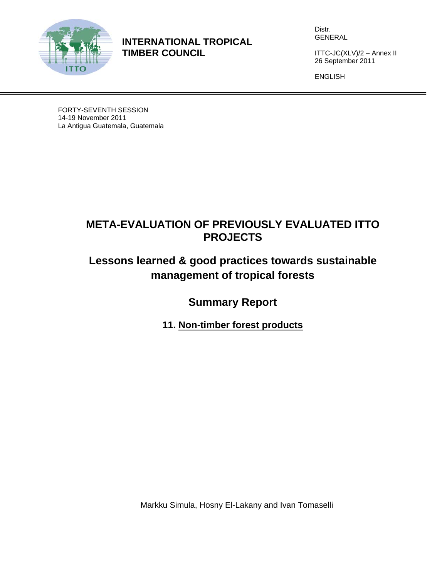

**INTERNATIONAL TROPICAL TIMBER COUNCIL** 

Distr. GENERAL

ITTC-JC(XLV)/2 – Annex II 26 September 2011

ENGLISH

FORTY-SEVENTH SESSION 14-19 November 2011 La Antigua Guatemala, Guatemala

# **META-EVALUATION OF PREVIOUSLY EVALUATED ITTO PROJECTS**

# **Lessons learned & good practices towards sustainable management of tropical forests**

**Summary Report** 

**11. Non-timber forest products** 

Markku Simula, Hosny El-Lakany and Ivan Tomaselli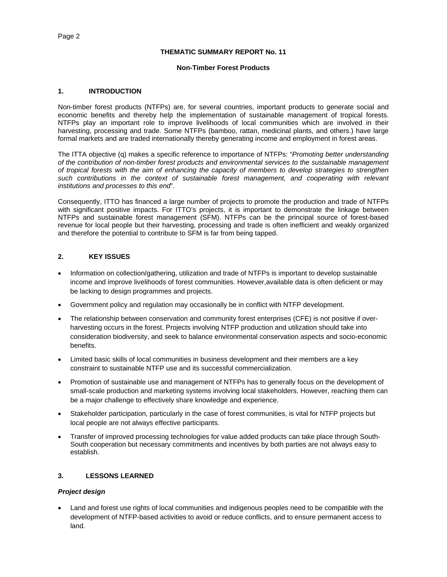#### **THEMATIC SUMMARY REPORT No. 11**

#### **Non-Timber Forest Products**

#### **1. INTRODUCTION**

Non-timber forest products (NTFPs) are, for several countries, important products to generate social and economic benefits and thereby help the implementation of sustainable management of tropical forests. NTFPs play an important role to improve livelihoods of local communities which are involved in their harvesting, processing and trade. Some NTFPs (bamboo, rattan, medicinal plants, and others.) have large formal markets and are traded internationally thereby generating income and employment in forest areas.

The ITTA objective (q) makes a specific reference to importance of NTFPs: "*Promoting better understanding of the contribution of non-timber forest products and environmental services to the sustainable management of tropical forests with the aim of enhancing the capacity of members to develop strategies to strengthen*  such contributions in the context of sustainable forest management, and cooperating with relevant *institutions and processes to this end*".

Consequently, ITTO has financed a large number of projects to promote the production and trade of NTFPs with significant positive impacts. For ITTO's projects, it is important to demonstrate the linkage between NTFPs and sustainable forest management (SFM). NTFPs can be the principal source of forest-based revenue for local people but their harvesting, processing and trade is often inefficient and weakly organized and therefore the potential to contribute to SFM is far from being tapped.

## **2. KEY ISSUES**

- Information on collection/gathering, utilization and trade of NTFPs is important to develop sustainable income and improve livelihoods of forest communities. However,available data is often deficient or may be lacking to design programmes and projects.
- Government policy and regulation may occasionally be in conflict with NTFP development.
- The relationship between conservation and community forest enterprises (CFE) is not positive if overharvesting occurs in the forest. Projects involving NTFP production and utilization should take into consideration biodiversity, and seek to balance environmental conservation aspects and socio-economic benefits.
- Limited basic skills of local communities in business development and their members are a key constraint to sustainable NTFP use and its successful commercialization.
- Promotion of sustainable use and management of NTFPs has to generally focus on the development of small-scale production and marketing systems involving local stakeholders. However, reaching them can be a major challenge to effectively share knowledge and experience.
- Stakeholder participation, particularly in the case of forest communities, is vital for NTFP projects but local people are not always effective participants.
- Transfer of improved processing technologies for value added products can take place through South-South cooperation but necessary commitments and incentives by both parties are not always easy to establish.

#### **3. LESSONS LEARNED**

#### *Project design*

 Land and forest use rights of local communities and indigenous peoples need to be compatible with the development of NTFP-based activities to avoid or reduce conflicts, and to ensure permanent access to land.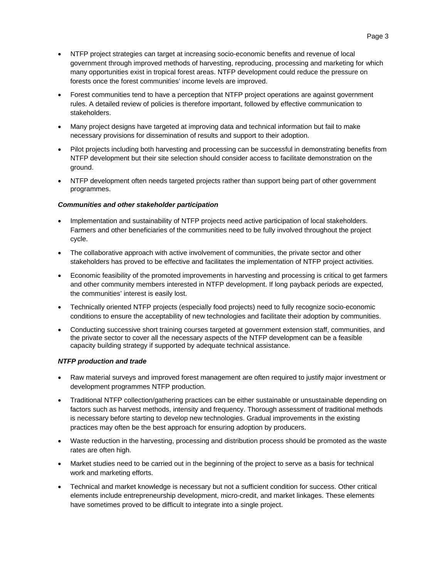- NTFP project strategies can target at increasing socio-economic benefits and revenue of local government through improved methods of harvesting, reproducing, processing and marketing for which many opportunities exist in tropical forest areas. NTFP development could reduce the pressure on forests once the forest communities' income levels are improved.
- Forest communities tend to have a perception that NTFP project operations are against government rules. A detailed review of policies is therefore important, followed by effective communication to stakeholders.
- Many project designs have targeted at improving data and technical information but fail to make necessary provisions for dissemination of results and support to their adoption.
- Pilot projects including both harvesting and processing can be successful in demonstrating benefits from NTFP development but their site selection should consider access to facilitate demonstration on the ground.
- NTFP development often needs targeted projects rather than support being part of other government programmes.

#### *Communities and other stakeholder participation*

- Implementation and sustainability of NTFP projects need active participation of local stakeholders. Farmers and other beneficiaries of the communities need to be fully involved throughout the project cycle.
- The collaborative approach with active involvement of communities, the private sector and other stakeholders has proved to be effective and facilitates the implementation of NTFP project activities.
- Economic feasibility of the promoted improvements in harvesting and processing is critical to get farmers and other community members interested in NTFP development. If long payback periods are expected, the communities' interest is easily lost.
- Technically oriented NTFP projects (especially food projects) need to fully recognize socio-economic conditions to ensure the acceptability of new technologies and facilitate their adoption by communities.
- Conducting successive short training courses targeted at government extension staff, communities, and the private sector to cover all the necessary aspects of the NTFP development can be a feasible capacity building strategy if supported by adequate technical assistance.

#### *NTFP production and trade*

- Raw material surveys and improved forest management are often required to justify major investment or development programmes NTFP production.
- Traditional NTFP collection/gathering practices can be either sustainable or unsustainable depending on factors such as harvest methods, intensity and frequency. Thorough assessment of traditional methods is necessary before starting to develop new technologies. Gradual improvements in the existing practices may often be the best approach for ensuring adoption by producers.
- Waste reduction in the harvesting, processing and distribution process should be promoted as the waste rates are often high.
- Market studies need to be carried out in the beginning of the project to serve as a basis for technical work and marketing efforts.
- Technical and market knowledge is necessary but not a sufficient condition for success. Other critical elements include entrepreneurship development, micro-credit, and market linkages. These elements have sometimes proved to be difficult to integrate into a single project.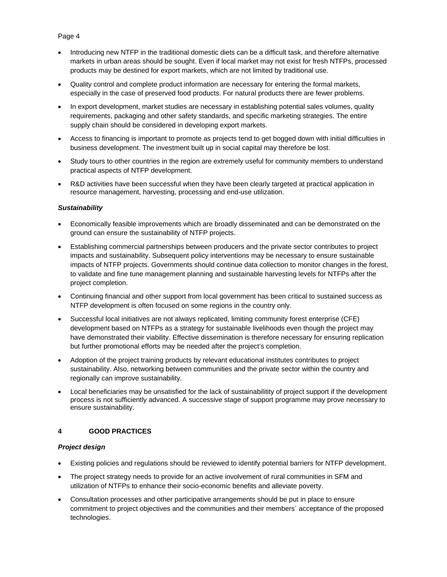## Page 4

- Introducing new NTFP in the traditional domestic diets can be a difficult task, and therefore alternative markets in urban areas should be sought. Even if local market may not exist for fresh NTFPs, processed products may be destined for export markets, which are not limited by traditional use.
- Quality control and complete product information are necessary for entering the formal markets, especially in the case of preserved food products. For natural products there are fewer problems.
- In export development, market studies are necessary in establishing potential sales volumes, quality requirements, packaging and other safety standards, and specific marketing strategies. The entire supply chain should be considered in developing export markets.
- Access to financing is important to promote as projects tend to get bogged down with initial difficulties in business development. The investment built up in social capital may therefore be lost.
- Study tours to other countries in the region are extremely useful for community members to understand practical aspects of NTFP development.
- R&D activities have been successful when they have been clearly targeted at practical application in resource management, harvesting, processing and end-use utilization.

### *Sustainability*

- Economically feasible improvements which are broadly disseminated and can be demonstrated on the ground can ensure the sustainability of NTFP projects.
- Establishing commercial partnerships between producers and the private sector contributes to project impacts and sustainability. Subsequent policy interventions may be necessary to ensure sustainable impacts of NTFP projects. Governments should continue data collection to monitor changes in the forest, to validate and fine tune management planning and sustainable harvesting levels for NTFPs after the project completion.
- Continuing financial and other support from local government has been critical to sustained success as NTFP development is often focused on some regions in the country only.
- Successful local initiatives are not always replicated, limiting community forest enterprise (CFE) development based on NTFPs as a strategy for sustainable livelihoods even though the project may have demonstrated their viability. Effective dissemination is therefore necessary for ensuring replication but further promotional efforts may be needed after the project's completion.
- Adoption of the project training products by relevant educational institutes contributes to project sustainability. Also, networking between communities and the private sector within the country and regionally can improve sustainability.
- Local beneficiaries may be unsatisfied for the lack of sustainabilitity of project support if the development process is not sufficiently advanced. A successive stage of support programme may prove necessary to ensure sustainability.

### **4 GOOD PRACTICES**

#### *Project design*

- Existing policies and regulations should be reviewed to identify potential barriers for NTFP development.
- The project strategy needs to provide for an active involvement of rural communities in SFM and utilization of NTFPs to enhance their socio-economic benefits and alleviate poverty.
- Consultation processes and other participative arrangements should be put in place to ensure commitment to project objectives and the communities and their members´ acceptance of the proposed technologies.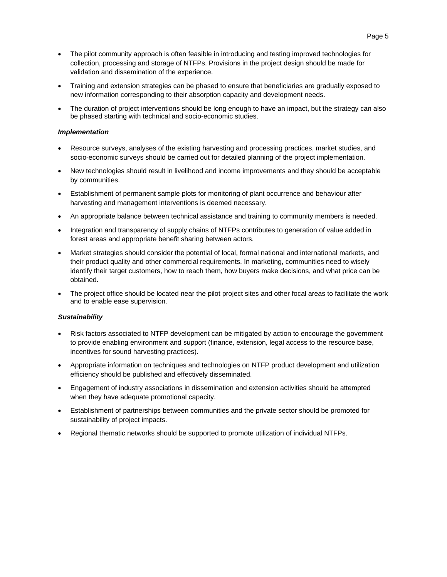- The pilot community approach is often feasible in introducing and testing improved technologies for collection, processing and storage of NTFPs. Provisions in the project design should be made for validation and dissemination of the experience.
- Training and extension strategies can be phased to ensure that beneficiaries are gradually exposed to new information corresponding to their absorption capacity and development needs.
- The duration of project interventions should be long enough to have an impact, but the strategy can also be phased starting with technical and socio-economic studies.

#### *Implementation*

- Resource surveys, analyses of the existing harvesting and processing practices, market studies, and socio-economic surveys should be carried out for detailed planning of the project implementation.
- New technologies should result in livelihood and income improvements and they should be acceptable by communities.
- Establishment of permanent sample plots for monitoring of plant occurrence and behaviour after harvesting and management interventions is deemed necessary.
- An appropriate balance between technical assistance and training to community members is needed.
- Integration and transparency of supply chains of NTFPs contributes to generation of value added in forest areas and appropriate benefit sharing between actors.
- Market strategies should consider the potential of local, formal national and international markets, and their product quality and other commercial requirements. In marketing, communities need to wisely identify their target customers, how to reach them, how buyers make decisions, and what price can be obtained.
- The project office should be located near the pilot project sites and other focal areas to facilitate the work and to enable ease supervision.

#### *Sustainability*

- Risk factors associated to NTFP development can be mitigated by action to encourage the government to provide enabling environment and support (finance, extension, legal access to the resource base, incentives for sound harvesting practices).
- Appropriate information on techniques and technologies on NTFP product development and utilization efficiency should be published and effectively disseminated.
- Engagement of industry associations in dissemination and extension activities should be attempted when they have adequate promotional capacity.
- Establishment of partnerships between communities and the private sector should be promoted for sustainability of project impacts.
- Regional thematic networks should be supported to promote utilization of individual NTFPs.